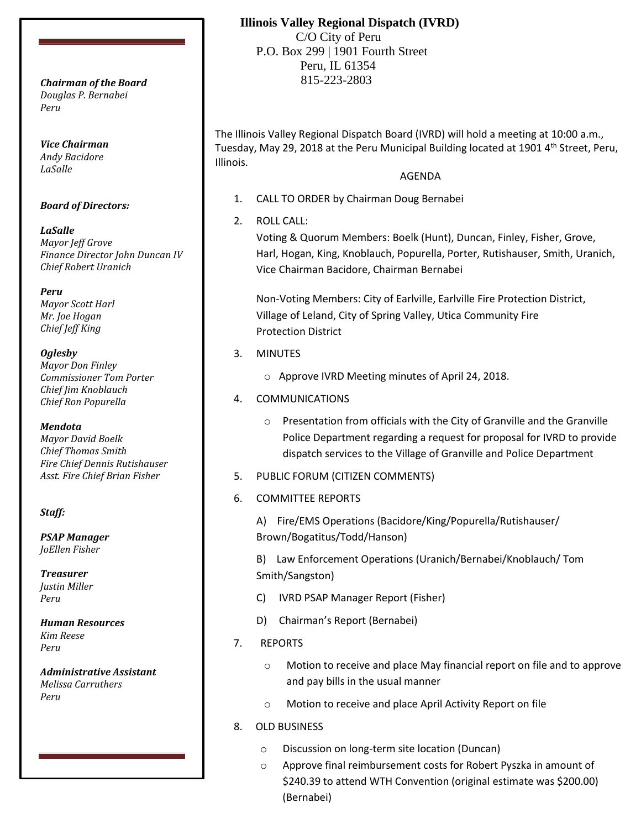*Douglas P. Bernabei Peru*

*Vice Chairman Andy Bacidore LaSalle*

### *Board of Directors:*

*LaSalle Mayor Jeff Grove Finance Director John Duncan IV Chief Robert Uranich*

*Peru Mayor Scott Harl Mr. Joe Hogan Chief Jeff King*

### *Oglesby*

*Mayor Don Finley Commissioner Tom Porter Chief Jim Knoblauch Chief Ron Popurella*

#### *Mendota*

*Mayor David Boelk Chief Thomas Smith Fire Chief Dennis Rutishauser Asst. Fire Chief Brian Fisher*

### *Staff:*

*PSAP Manager JoEllen Fisher*

*Treasurer Justin Miller Peru*

*Human Resources Kim Reese Peru*

*Administrative Assistant Melissa Carruthers Peru*

# **Illinois Valley Regional Dispatch (IVRD)**

 C/O City of Peru P.O. Box 299 | 1901 Fourth Street Peru, IL 61354 815-223-2803 *Chairman of the Board*

> The Illinois Valley Regional Dispatch Board (IVRD) will hold a meeting at 10:00 a.m., Tuesday, May 29, 2018 at the Peru Municipal Building located at 1901 4<sup>th</sup> Street, Peru, Illinois.

## AGENDA

- 1. CALL TO ORDER by Chairman Doug Bernabei
- 2. ROLL CALL:

Voting & Quorum Members: Boelk (Hunt), Duncan, Finley, Fisher, Grove, Harl, Hogan, King, Knoblauch, Popurella, Porter, Rutishauser, Smith, Uranich, Vice Chairman Bacidore, Chairman Bernabei

Non-Voting Members: City of Earlville, Earlville Fire Protection District, Village of Leland, City of Spring Valley, Utica Community Fire Protection District

- 3. MINUTES
	- o Approve IVRD Meeting minutes of April 24, 2018.
- 4. COMMUNICATIONS
	- o Presentation from officials with the City of Granville and the Granville Police Department regarding a request for proposal for IVRD to provide dispatch services to the Village of Granville and Police Department
- 5. PUBLIC FORUM (CITIZEN COMMENTS)
- 6. COMMITTEE REPORTS

A) Fire/EMS Operations (Bacidore/King/Popurella/Rutishauser/ Brown/Bogatitus/Todd/Hanson)

B) Law Enforcement Operations (Uranich/Bernabei/Knoblauch/ Tom Smith/Sangston)

- C) IVRD PSAP Manager Report (Fisher)
- D) Chairman's Report (Bernabei)
- 7. REPORTS
	- Motion to receive and place May financial report on file and to approve and pay bills in the usual manner
	- o Motion to receive and place April Activity Report on file
- 8. OLD BUSINESS
	- o Discussion on long-term site location (Duncan)
	- o Approve final reimbursement costs for Robert Pyszka in amount of \$240.39 to attend WTH Convention (original estimate was \$200.00) (Bernabei)